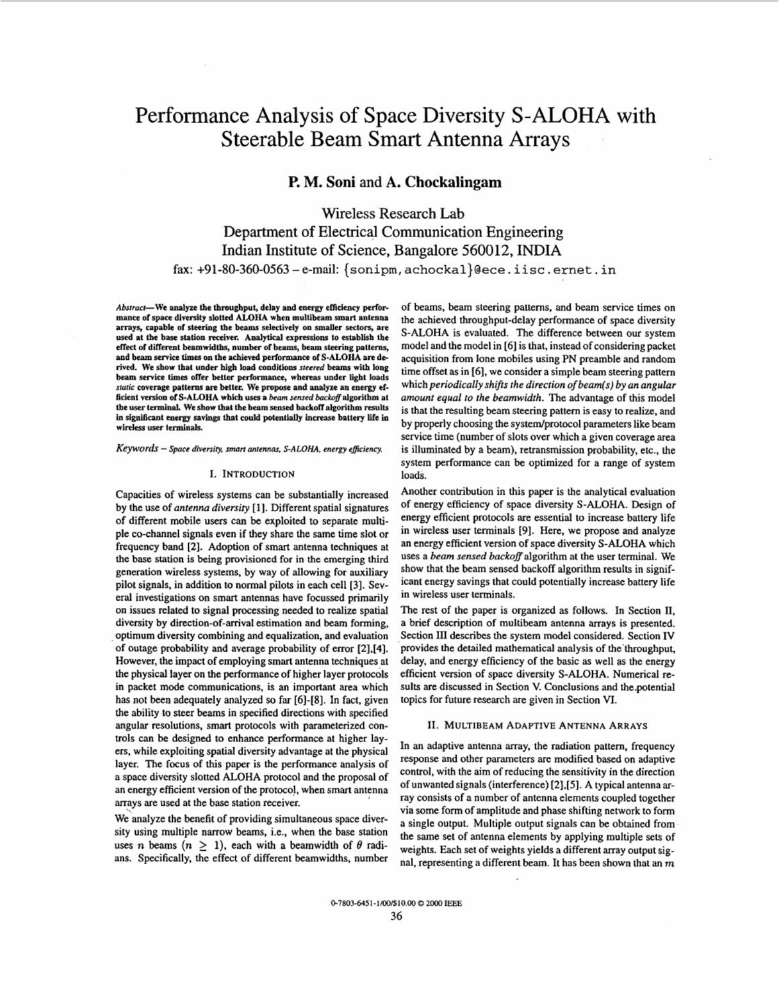# Performance Analysis of Space Diversity S-ALOHA with Steerable Beam Smart Antenna Arrays

## **P. M. Soni** and **A. Chockalingam**

Wireless Research Lab Department of Electrical Communication Engineering Indian Institute of Science, Bangalore 560012, INDIA **fax: +91-80-360-0563** - e-mail: **{sonipm, achockal}@ece. iisc** . **ernet. in** 

*Abstract-We* **analyze the throughput, delay and energy efficiency performance of space diversity slotted ALOHA when multibeam smart antenna arrays, capable of steering the beams selectively on smaller sectors, are used at the base station receiver. Analytical expressions to establish the effect of diITerent beamwidths, number of beams, beam steering patterns, and beam service times on the achieved performance of S-ALOHA are derived. We show that under high load conditions** *steered* **beams with long beam service times offer better performance, whereas under light loads**  *static* **coverage patterns are better.** *We* **propose and analyze an energy efficient version of S-ALOHA which uses a** *beam sensed backoff* **algorithm at the user terminal. We show that the beam sensed backoff algorithm results in significant energy savings that could potentially increase battery life in wireless user terminals.** 

Keywords - Space diversity, smart antennas, S-ALOHA, energy efficiency.

## I. INTRODUCTION

Capacities of wireless systems can be substantially increased by the use of antenna *diversiry* **[I].** Different spatial signatures of different mobile users can be exploited to separate multiple co-channel signals even if they share the same time slot or frequency band **[2].** Adoption of smart antenna techniques at the base station is being provisioned for in **the** emerging third generation wireless systems, by way of allowing for auxiliary pilot signals, in addition to normal pilots in each cell **[3].** Several investigations on smart antennas have focussed primarily on issues related to signal processing needed to realize spatial diversity by direction-of-arrival estimation and beam forming, optimum diversity combining and equalization, and evaluation of outage probability and average probability of error **[2],[4].**  However, the impact of employing smart antenna techniques at the physical layer on the performance of higher layer protocols in packet mode communications, is an important area which has not been adequately analyzed so far [6]-[8]. In fact, given the ability to steer beams in specified directions with specified angular resolutions, smart protocols with parameterized controls can be designed to enhance performance at higher layers, while exploiting spatial diversity advantage at the physical layer. The focus of this paper is the performance analysis of a space diversity slotted ALOHA protocol and the proposal of an energy efficient version of the protocol, when smart antenna arrays are used at the base station receiver.

We analyze the benefit of providing simultaneous space diversity using multiple narrow beams, i.e., when the base station uses n beams  $(n \geq 1)$ , each with a beamwidth of  $\theta$  radians. Specifically, the effect of different beamwidths, number of beams, beam steering patterns, and beam service times on the achieved throughput-delay performance of space diversity S-ALOHA is evaluated. The difference between our system model and the model in [6] is that, instead of considering packet acquisition from lone mobiles using PN preamble and random time offset as in *[6],* we consider a simple beam steering pattern which *periodically shifrs the direction of beam(s) by an angular amount equal to the beamwidth.* The advantage of this model is that the resulting beam steering pattern is easy to realize, and by properly choosing the system/protocol parameters like beam service time (number of slots over which a given coverage area is illuminated by a beam), retransmission probability, etc., the system performance can be optimized for a range of system loads.

Another contribution in this paper is the analytical evaluation of energy efficiency of space diversity S-ALOHA. Design of energy efficient protocols are essential to increase battery life in wireless user terminals **[9].** Here, we propose and analyze an energy efficient version of space diversity S-ALOHA which uses a *beam sensed backoff* algorithm at the user terminal. We show that the beam sensed backoff algorithm results in significant energy savings that could potentially increase battery life in wireless user terminals.

The rest of the paper is organized as follows. In Section II, a brief description of multibeam antenna arrays is presented. Section III describes the system model considered. Section IV provides the detailed mathematical analysis of the'throughput, delay, and energy efficiency of the basic as well **as** the energy efficient version of space diversity S-ALOHA. Numerical re**sults** are discussed in Section v. Conclusions and the.potential topics for future research are given in Section VI.

### **XI.** MULTIBEAM ADAPTIVE ANTENNA ARRAYS

In an adaptive antenna array, the radiation pattern, frequency response and other parameters are modified based on adaptive control, with the aim of reducing the sensitivity in the direction of unwanted signals (interference) **[2],[5].** A typical antenna array consists of a number of antenna elements coupled together via some form of amplitude and phase shifting network to form a single output. Multiple output signals can be obtained from the same set of antenna elements by applying multiple sets of weights. Each set of weights yields a different array output signal, representing a different beam. It has been shown that an *m*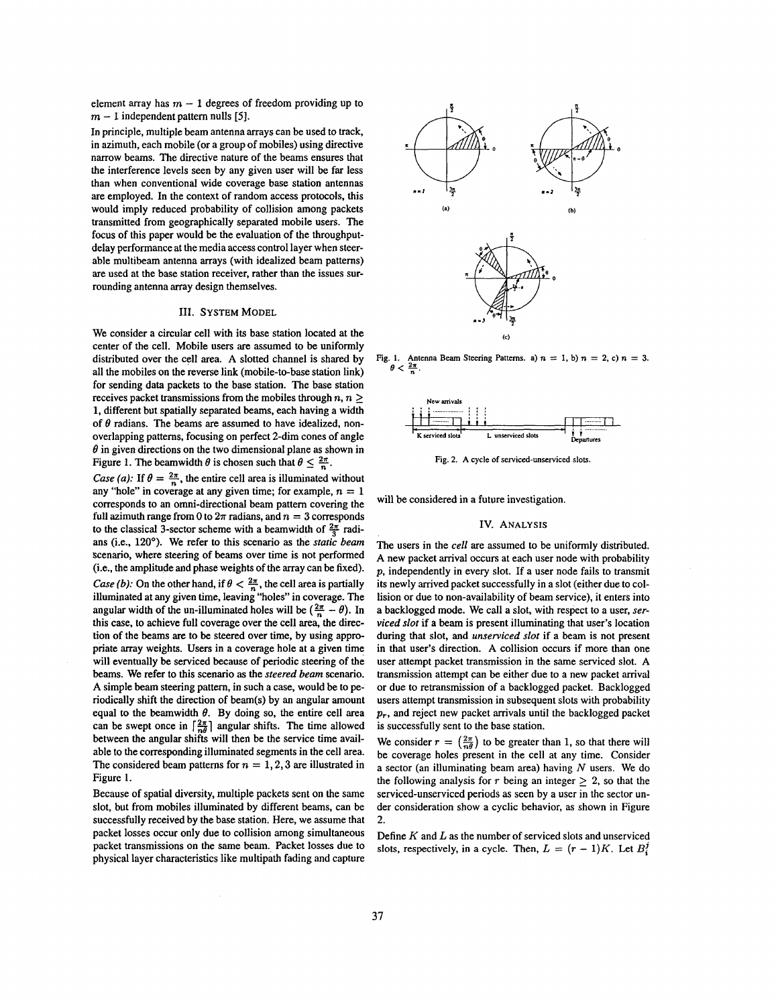<span id="page-1-0"></span>element array has  $m - 1$  degrees of freedom providing up to  $m-1$  independent pattern nulls [5].

In principle, multiple beam antenna arrays can be used to track, in azimuth, each mobile (or a group of mobiles) using directive narrow beams. The directive nature of the beams ensures that the interference levels seen by any given user will be far less than when conventional wide coverage base station antennas are employed. In the context of random access protocols, this would imply reduced probability of collision among packets transmitted from geographically separated mobile users. The focus of this paper would be the evaluation of the throughputdelay performance at the media access control layer when steerable multibeam antenna arrays (with idealized beam patterns) are used at the base station receiver, rather than the issues surrounding antenna array design themselves.

## 111. **SYSTEM** MODEL

We consider a circular cell with its base station located at the center of the cell. Mobile users are assumed to be uniformly distributed over the cell area. A slotted channel is shared by all the mobiles on the reverse link (mobile-to-base station link) for sending data packets to the base station. The base station receives packet transmissions from the mobiles through  $n, n \geq 1$ **1.** different but spatially separated beams, each having a width of  $\theta$  radians. The beams are assumed to have idealized, nonoverlapping patterns, focusing on perfect 2-dim cones of angle  $\theta$  in given directions on the two dimensional plane as shown in Figure 1. The beamwidth  $\theta$  is chosen such that  $\theta \leq \frac{2\pi}{n}$ .

*Case (a):* If  $\theta = \frac{2\pi}{n}$ , the entire cell area is illuminated without any "hole" in coverage at any given time; for example,  $n = 1$ corresponds to an omni-directional beam pattern covering the full azimuth range from 0 to  $2\pi$  radians, and  $n = 3$  corresponds to the classical 3-sector scheme with a beamwidth of  $\frac{2\pi}{3}$  radians (i.e.. **120').** We refer to this scenario **as** the *static* beam scenario, where steering of beams over time is not performed (i.e., the amplitude and phase weights of the array can be fixed). *Case (b):* On the other hand, if  $\theta < \frac{2\pi}{n}$ , the cell area is partially illuminated at any given time, leaving "holes" in coverage. The angular width of the un-illuminated holes will be  $\left(\frac{2\pi}{n} - \theta\right)$ . In this case, to achieve full coverage over the cell area, the direction of the beams are to be steered over time, by using appropriate array weights. Users in a coverage hole at a given time will eventually be serviced because of periodic steering of the beams. We refer to this scenario **as** the *steered beam* scenario. A simple beam steering pattern, in such a case, would be to periodically shift the direction of beam(s) by an angular amount equal to the beamwidth  $\theta$ . By doing so, the entire cell area can be swept once in  $\left[\frac{2\pi}{n\theta}\right]$  angular shifts. The time allowed between the angular shifts will then be the service time available to the corresponding illuminated segments in the cell area. The considered beam patterns for  $n = 1, 2, 3$  are illustrated in Figure **1.** 

Because of spatial diversity, multiple packets sent on the same slot, but from mobiles illuminated by different beams, can be successfully received by the base station. Here, we assume that packet losses occur only due to collision among simultaneous packet transmissions on the same beam. Packet losses due to physical layer characteristics like multipath fading and capture



**Fig. 1.** Antenna Beam Steering Patterns. a)  $n = 1$ , b)  $n = 2$ , c)  $n = 3$ .  $\theta < \frac{2\pi}{n}$ .



**Fig. 2. A cycle of serviced-unserviced slots.** 

will be considered in a future investigation.

## IV. ANALYSIS

**The** users in the cell are assumed to be uniformly distributed. A new packet arrival occurs at each user node with probability p, independently in every slot. If a user node fails to transmit its newly arrived packet successfully in a slot (either due to collision or due to non-availability of beam service), it enters into a backlogged mode. We call a slot, with respect to a user, serviced slot if a beam is present illuminating that user's location during that slot, and *unserviced slot* if a beam is not present in that user's direction. A collision occurs if more than one user attempt packet transmission in the same serviced slot. A transmission attempt can be either due to a new packet arrival or due to retransmission of a backlogged packet. Backlogged users attempt transmission in subsequent slots with probability *p,,* and reject new packet arrivals until the backlogged packet is successfully sent to the base station.

We consider  $r = \left(\frac{2\pi}{n\theta}\right)$  to be greater than 1, so that there will be coverage holes present in the cell at any time. Consider a sector (an illuminating beam area) having *N* users. We do the following analysis for  $r$  being an integer  $\geq 2$ , so that the serviced-unserviced periods as seen by a user in the sector under consideration show a cyclic behavior, as shown in Figure 2.

Define  $K$  and  $L$  as the number of serviced slots and unserviced slots, respectively, in a cycle. Then,  $L = (r - 1)K$ . Let  $B_i^j$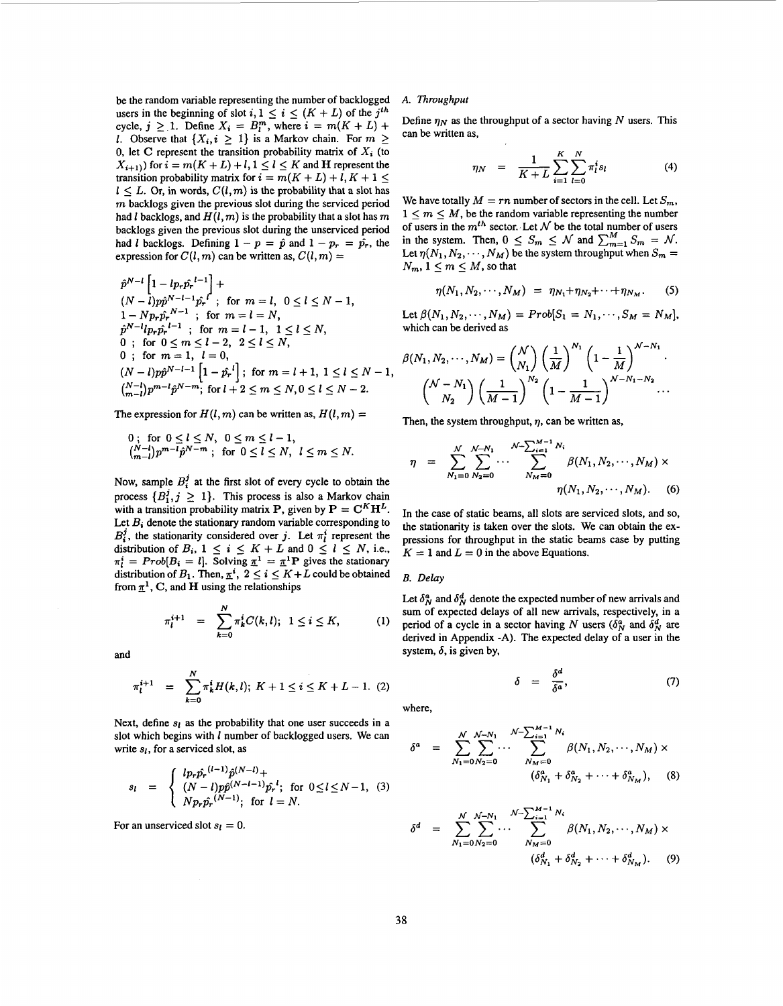be the random variable representing the number **of** backlogged users in the beginning of slot  $i, 1 \leq i \leq (K + L)$  of the  $j<sup>th</sup>$ cycle,  $j \ge 1$ . Define  $X_i = B_i^m$ , where  $i = m(K + L) +$ *1.* Observe that  $\{X_i, i \geq 1\}$  is a Markov chain. For  $m \geq 1$ 0, let C represent the transition probability matrix of  $X_i$  (to  $X_{i+1}$ ) for  $i = m(K+L) + l, 1 \le l \le K$  and **H** represent the transition probability matrix for  $i = m(K + L) + l$ ,  $K + 1 \leq$  $l \leq L$ . Or, in words,  $C(l,m)$  is the probability that a slot has *m* backlogs given the previous slot during the serviced period had *l* backlogs, and  $H(l, m)$  is the probability that a slot has m backlogs given the previous slot during the unserviced period had *l* backlogs. Defining  $1 - p = \hat{p}$  and  $1 - p_r = \hat{p}_r$ , the expression for  $C(l, m)$  can be written as,  $C(l, m)$  =

$$
\hat{p}^{N-l} \left[ 1 - lp_r \hat{p_r}^{l-1} \right] +
$$
\n
$$
(N-l)p\hat{p}^{N-l-1} \hat{p_r}^{l}; \text{ for } m = l, 0 \le l \le N-1,
$$
\n
$$
1 - Np_r \hat{p_r}^{N-1}; \text{ for } m = l = N,
$$
\n
$$
\hat{p}^{N-l}lp_r \hat{p_r}^{l-1}; \text{ for } m = l-1, 1 \le l \le N, \text{ which}
$$
\n
$$
0 \text{ ; for } 0 \le m \le l-2, 2 \le l \le N,
$$
\n
$$
0 \text{ ; for } m = 1, l = 0,
$$
\n
$$
(N-l)p\hat{p}^{N-l-1} \left[ 1 - \hat{p_r}^{l} \right]; \text{ for } m = l+1, 1 \le l \le N-1, \text{ where } n \ge N, 0 \le l \le N-2.
$$

The expression for  $H(l, m)$  can be written as,  $H(l, m)$  =

$$
\begin{array}{ll}\n0; & \text{for } 0 \le l \le N, \ 0 \le m \le l-1, \\
\binom{N-l}{m-l} p^{m-l} \hat{p}^{N-m}; & \text{for } 0 \le l \le N, \ l \le m \le N.\n\end{array}
$$

Now, sample  $B_i^j$  at the first slot of every cycle to obtain the process  $\{B_1^j, j \geq 1\}$ . This process is also a Markov chain with a transition probability matrix **P**, given by  $P = C^K H^L$ . Let  $B_i$  denote the stationary random variable corresponding to  $B_i^j$ , the stationarity considered over *j*. Let  $\pi_i^i$  represent the distribution of  $B_i$ ,  $1 \leq i \leq K + L$  and  $0 \leq l \leq N$ , i.e.,  $\pi_i^i$  = *Prob*[ $B_i = l$ ]. Solving  $\pi^1 = \pi^1$ **P** gives the stationary distribution of  $B_1$ . Then,  $\pi^i$ ,  $2 \leq i \leq K + L$  could be obtained from  $\pi^1$ , C, and **H** using the relationships

$$
\pi_l^{i+1} = \sum_{k=0}^N \pi_k^i C(k, l); \ 1 \le i \le K, \qquad (1
$$

and

$$
\pi_l^{i+1} = \sum_{k=0}^N \pi_k^i H(k,l); \ K+1 \le i \le K+L-1. \ (2)
$$

Next, define  $s_l$  as the probability that one user succeeds in a slot which begins with *1* number of backlogged users. We can write *SI,* **for** a serviced slot, as

$$
s_{l} = \begin{cases} l p_{r} \hat{p}_{r}^{(l-1)} \hat{p}^{(N-l)} + \\ (N-l) p \hat{p}^{(N-l-1)} \hat{p}_{r}^{l}; & \text{for } 0 \le l \le N-1, (3) \\ N p_{r} \hat{p}_{r}^{(N-1)}; & \text{for } l = N. \end{cases}
$$

For an unserviced slot  $s<sub>l</sub> = 0$ .

## *A. Throughput*

Define  $n_N$  as the throughput of a sector having N users. This can be written as,

$$
\eta_N = \frac{1}{K+L} \sum_{i=1}^{K} \sum_{l=0}^{N} \pi_i^i s_l \tag{4}
$$

We have totally  $M = rn$  number of sectors in the cell. Let  $S_m$ ,  $1 \leq m \leq M$ , be the random variable representing the number of users in the  $m<sup>th</sup>$  sector. Let  $N$  be the total number of users in the system. Then,  $0 \leq S_m \leq \mathcal{N}$  and  $\sum_{m=1}^M S_m = \mathcal{N}$ . Let  $\eta(N_1, N_2, \dots, N_M)$  be the system throughput when  $S_m =$  $N_m, 1 \leq m \leq M$ , so that

$$
\eta(N_1, N_2, \cdots, N_M) = \eta_{N_1} + \eta_{N_2} + \cdots + \eta_{N_M}.
$$
 (5)

Let  $\beta(N_1, N_2, \dots, N_M) = Prob[S_1 = N_1, \dots, S_M = N_M],$ which can be derived as

$$
\beta(N_1, N_2, \cdots, N_M) = {N \choose N_1} \left(\frac{1}{M}\right)^{N_1} \left(1 - \frac{1}{M}\right)^{N - N_1} \cdot \left(\frac{N - N_1}{N_2}\right) \left(\frac{1}{M - 1}\right)^{N^2} \left(1 - \frac{1}{M - 1}\right)^{N - N_1 - N_2} \cdots
$$

Then, the system throughput,  $\eta$ , can be written as,

$$
\eta = \sum_{N_1=0}^{N} \sum_{N_2=0}^{N-N_1} \cdots \sum_{N_M=0}^{N-\sum_{i=1}^{M-1} N_i} \beta(N_1, N_2, \cdots, N_M) \times \eta(N_1, N_2, \cdots, N_M). \quad (6)
$$

In the case **of** static beams, all slots are serviced slots, and *so,*  the stationarity is taken over the slots. We can obtain the expressions **for** throughput in the static beams case by putting  $K = 1$  and  $L = 0$  in the above Equations.

## *B. Delay*

Let  $\delta_N^a$  and  $\delta_N^d$  denote the expected number of new arrivals and sum **of** expected delays **of** all new arrivals, respectively, in a period of a cycle in a sector having *N* users ( $\delta_N^a$  and  $\delta_N^d$  are derived in Appendix -A). The expected delay **of** a user in the system,  $\delta$ , is given by,

$$
\delta = \frac{\delta^d}{\delta^a},\tag{7}
$$

where,

$$
\delta^{a} = \sum_{N_{1}=0}^{N} \sum_{N_{2}=0}^{N-N_{1}} \cdots \sum_{N_{M}=0}^{N-\sum_{i=1}^{M-1} N_{i}} \beta(N_{1}, N_{2}, \cdots, N_{M}) \times \left(\delta_{N_{1}}^{a} + \delta_{N_{2}}^{a} + \cdots + \delta_{N_{M}}^{a}\right), \quad (8)
$$

$$
\delta^{d} = \sum_{N_1=0}^{N} \sum_{N_2=0}^{N-N_1} \cdots \sum_{N_M=0}^{N-\sum_{i=1}^{M-1} N_i} \beta(N_1, N_2, \cdots, N_M) \times \left(\delta_{N_1}^d + \delta_{N_2}^d + \cdots + \delta_{N_M}^d\right). \quad (9)
$$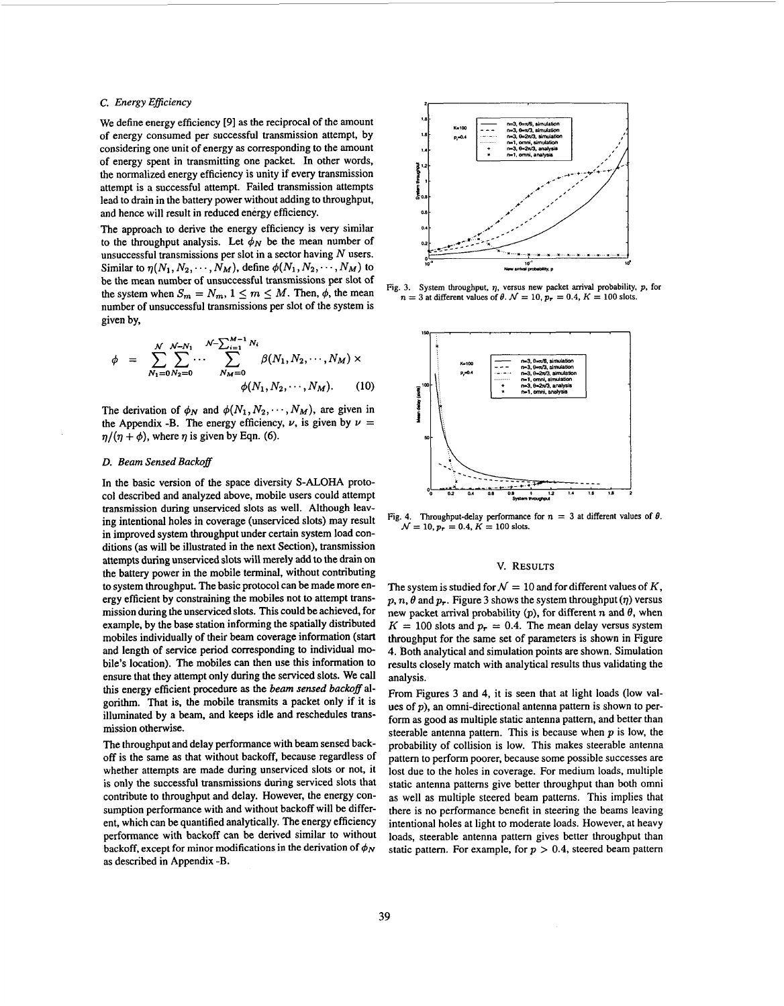## *C. Energy Eficiency*

We define energy efficiency *[9]* as the reciprocal of the amount of energy consumed per successful transmission attempt, by considering one unit of energy as corresponding to the amount of energy spent in transmitting one packet. In other words, the normalized energy efficiency is unity if every transmission attempt is a successful attempt. Failed transmission attempts lead to drain in the battery power without adding to throughput, and hence will result in reduced energy efficiency.

The approach to derive the energy efficiency is very similar to the throughput analysis. Let  $\phi_N$  be the mean number of unsuccessful transmissions per slot in a sector having *N* users. Similar to  $\eta(N_1, N_2, \cdots, N_M)$ , define  $\phi(N_1, N_2, \cdots, N_M)$  to be the mean number of unsuccessful transmissions per slot of the system when  $S_m = N_m$ ,  $1 \le m \le M$ . Then,  $\phi$ , the mean number of unsuccessful transmissions per slot of the system is given by,

$$
\phi = \sum_{N_1=0}^{N} \sum_{N_2=0}^{N-N_1} \cdots \sum_{N_M=0}^{N-\sum_{i=1}^{M-1} N_i} \beta(N_1, N_2, \cdots, N_M) \times \phi(N_1, N_2, \cdots, N_M). \qquad (10)
$$

The derivation of  $\phi_N$  and  $\phi(N_1, N_2, \dots, N_M)$ , are given in the Appendix -B. The energy efficiency,  $\nu$ , is given by  $\nu =$  $\eta/(\eta + \phi)$ , where  $\eta$  is given by Eqn. (6).

## *D. Beam Sensed Backoff*

In the basic version of the space diversity S-ALOHA protocol described and analyzed above, mobile users could attempt transmission during unserviced slots **as** well. Although leaving intentional holes in coverage (unserviced slots) may result in improved system throughput under certain system load conditions **(as** will be illustrated in the next Section), transmission attempts during unserviced slots will merely add to the **drain** on the battery power in the mobile terminal, without contributing to system throughput. The basic protocol can be made more energy efficient by constraining the mobiles not to attempt transmission during the unserviced slots. This could be achieved, for example. by the base station informing the spatially distributed mobiles individually of their beam coverage information (start and length of service period corresponding to individual mobile's location). The mobiles can then use this information to ensure that they attempt only during the serviced slots. We call this energy efficient procedure **as** the *beam sensed backoff* algorithm. That is. the mobile transmits a packet only if it is illuminated by a beam, and keeps idle and reschedules transmission otherwise.

The throughput and delay performance with beam sensed backoff is the same as that without backoff, because regardless of whether attempts are made during unserviced slots or not, it is only the successful transmissions during serviced slots that contribute to throughput and delay. However, the energy consumption performance with and without backoff will be different, which can be quantified analytically. The energy efficiency performance with backoff can be derived similar to without backoff, except for minor modifications in the derivation of  $\phi_N$ **as** described in Appendix **-B.** 



**Fig. 3. System throughput,** *q.* **versus new packet arrival probability. p. for**   $n = 3$  at different values of  $\theta$ .  $\mathcal{N} = 10$ ,  $p_r = 0.4$ ,  $K = 100$  slots.



**Fig. 4.** Throughput-delay performance for  $n = 3$  at different values of  $\theta$ .  $\mathcal{N} = 10, p_r = 0.4, K = 100$  slots.

## **V. RESULTS**

The system is studied for  $\mathcal{N} = 10$  and for different values of K,  $p, n, \theta$  and  $p_r$ . Figure 3 shows the system throughput ( $\eta$ ) versus new packet arrival probability  $(p)$ , for different n and  $\theta$ , when  $K = 100$  slots and  $p_r = 0.4$ . The mean delay versus system throughput for the same set of parameters is shown in Figure **4.** Both analytical and simulation points are shown. Simulation results closely match with analytical results thus validating the analysis.

From Figures 3 and **4,** it is seen that at light loads (low values of  $p$ ), an omni-directional antenna pattern is shown to perform as good **as** multiple static antenna pattern, and better than steerable antenna pattern. This is because when  $p$  is low, the probability of collision is low. This makes steerable antenna pattern to perform poorer, because some possible successes are lost due to the holes in coverage. For medium loads, multiple static antenna patterns give better throughput than both omni as well as multiple steered beam patterns. This implies that there is no performance benefit in steering the beams leaving intentional holes at light to moderate loads. However, at heavy loads, steerable antenna pattern gives better throughput than static pattern. For example, for  $p > 0.4$ , steered beam pattern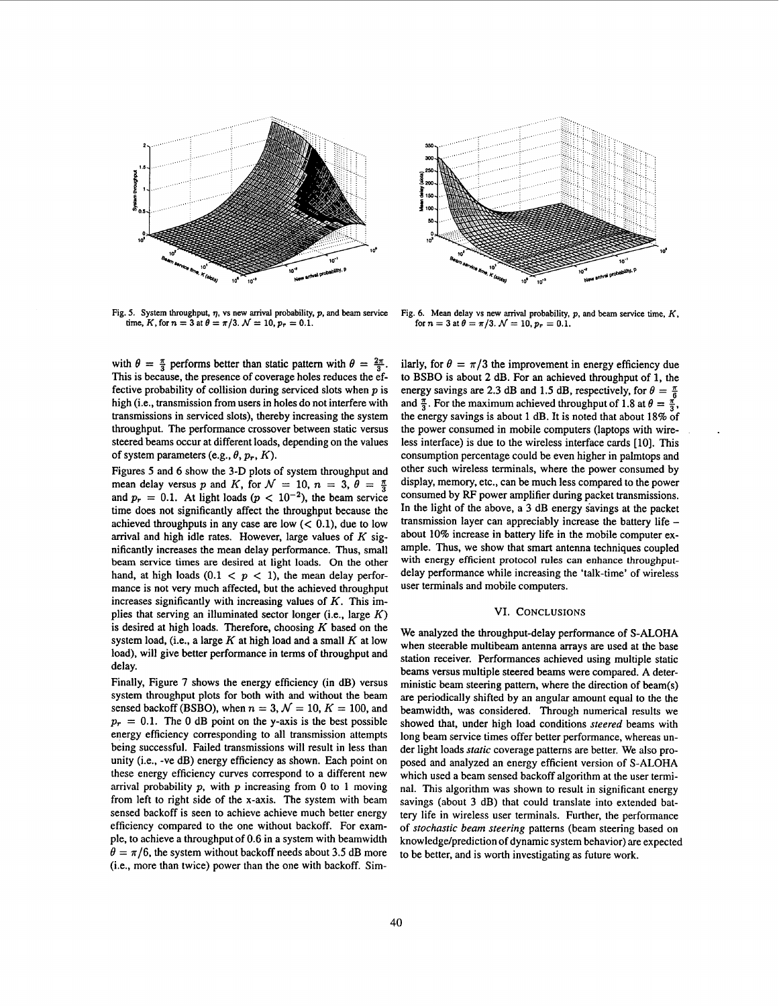



Fig. 5. System throughput,  $\eta$ , vs new arrival probability,  $p$ , and beam service Fig. 6. Mean delay vs new arrival probability,  $p$ , and beam service time,  $K$ , time,  $K$ , for  $n = 3$  at  $\theta = \pi/3$ .  $\mathcal{N} = 10$ ,  $p_r = 0.1$ **time,**  $K$ , for  $n = 3$  at  $\theta = \pi/3$ .  $\mathcal{N} = 10$ ,  $p_r = 0.1$ .

with  $\theta = \frac{\pi}{3}$  performs better than static pattern with  $\theta = \frac{2\pi}{3}$ . This is because, the presence of coverage holes reduces the effective probability of collision during serviced slots when *p* is high (i.e., transmission from users in holes do not interfere with transmissions in serviced slots), thereby increasing the system throughput. The performance crossover between static versus steered beams occur at different loads, depending on the values of system parameters (e.g.,  $\theta$ ,  $p_r$ ,  $K$ ).

Figures *5* and *6* show the **3-D** plots of system throughput and mean delay versus *p* and *K*, for  $\mathcal{N} = 10$ ,  $n = 3$ ,  $\theta = \frac{\pi}{3}$ and  $p_r = 0.1$ . At light loads ( $p < 10^{-2}$ ), the beam service time does not significantly affect the throughput because the achieved throughputs in any case are low  $( $0.1$ ), due to low$ arrival and high idle rates. However, large values of *K* significantly increases the mean delay performance. Thus, small beam service times are desired at light loads. On the other hand, at high loads  $(0.1 < p < 1)$ , the mean delay performance is not very much affected, but the achieved throughput increases significantly with increasing values of *K.* This implies that serving an illuminated sector longer (i.e., large *K)*  is desired at high loads. Therefore, choosing *K* based on the system load, (i.e., a large *K* at high load and a small *K* at low load), will give better performance in terms **of** throughput and delay.

Finally, [Figure](#page-5-0) **7** shows the energy efficiency (in **dB)** versus system throughput plots for both with and without the beam sensed backoff (BSBO), when  $n = 3$ ,  $\mathcal{N} = 10$ ,  $K = 100$ , and  $p_r = 0.1$ . The 0 dB point on the y-axis is the best possible energy efficiency corresponding to all transmission attempts being successful. Failed transmissions will result in less than unity (i.e., -ve **dB)** energy efficiency as shown. Each point on these energy efficiency curves correspond to a different new arrival probability *p,* with *p* increasing from 0 to 1 moving from left to right side of the x-axis. The system with beam sensed backoff is seen to achieve achieve much better energy efficiency compared to the one without backoff. For example, to achieve a throughput of 0.6 in a system with beamwidth  $\theta = \pi/6$ , the system without backoff needs about 3.5 dB more (i.e., more than twice) power than the one with backoff. Similarly, for  $\theta = \pi/3$  the improvement in energy efficiency due to BSBO is about *2* **dB.** For an achieved throughput of 1, the energy savings are 2.3 dB and 1.5 dB, respectively, for  $\theta = \frac{\pi}{6}$ and  $\frac{\pi}{3}$ . For the maximum achieved throughput of 1.8 at  $\theta = \frac{\pi}{3}$ , the energy savings is about 1 **dB.** It is noted that about 18% of the power consumed in mobile computers (laptops with wireless interface) is due to the wireless interface cards [10]. This consumption percentage could be even higher in palmtops and other such wireless terminals, where the power consumed by display, memory, etc., can be much less compared to the power consumed by RF power amplifier during packet transmissions. In the light of the above, a **3** dB energy savings at the packet transmission layer can appreciably increase the battery life - about 10% increase in battery life in the mobile computer example. Thus, we show that smart antenna techniques coupled with energy efficient protocol rules can enhance throughputdelay performance while increasing the 'talk-time' of wireless user terminals and mobile computers.

## VI. **CONCLUSIONS**

We analyzed the throughput-delay performance of S-ALOHA when steerable multibeam antenna arrays are used at the base station receiver. Performances achieved using multiple static beams versus multiple steered beams were compared. A deterministic beam steering pattern, where the direction of beam(s) are periodically shifted by an angular amount equal to the the beamwidth, was considered. Through numerical results we showed that, under high load conditions *steered* beams with long beam service times offer better performance, whereas under light loads *static* coverage patterns are better. We also proposed and analyzed an energy efficient version of S-ALOHA which used a beam sensed backoff algorithm at the user terminal. This algorithm was shown to result in significant energy savings (about **3** dB) that could translate into extended battery life in wireless user terminals. Further, the performance of *stochastic beam steering* patterns (beam steering based on knowledge/prediction of dynamic system behavior) are expected to be better, and is worth investigating as future work.